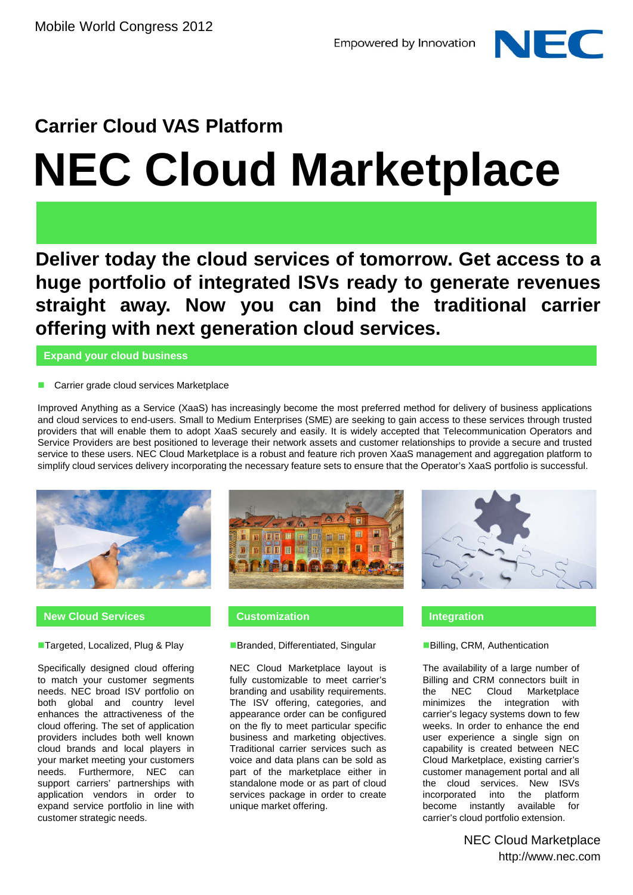

# **Carrier Cloud VAS Platform NEC Cloud Marketplace**

**Deliver today the cloud services of tomorrow. Get access to a huge portfolio of integrated ISVs ready to generate revenues straight away. Now you can bind the traditional carrier offering with next generation cloud services.**

**Expand your cloud business**

### **Carrier grade cloud services Marketplace**

Improved Anything as a Service (XaaS) has increasingly become the most preferred method for delivery of business applications and cloud services to end-users. Small to Medium Enterprises (SME) are seeking to gain access to these services through trusted providers that will enable them to adopt XaaS securely and easily. It is widely accepted that Telecommunication Operators and Service Providers are best positioned to leverage their network assets and customer relationships to provide a secure and trusted service to these users. NEC Cloud Marketplace is a robust and feature rich proven XaaS management and aggregation platform to simplify cloud services delivery incorporating the necessary feature sets to ensure that the Operator's XaaS portfolio is successful.



### **New Cloud Services**

**Targeted, Localized, Plug & Play** 

Specifically designed cloud offering to match your customer segments needs. NEC broad ISV portfolio on both global and country level enhances the attractiveness of the cloud offering. The set of application providers includes both well known cloud brands and local players in your market meeting your customers needs. Furthermore, NEC can support carriers' partnerships with application vendors in order to expand service portfolio in line with customer strategic needs.



### **Customization Integration**

### **Branded, Differentiated, Singular**

NEC Cloud Marketplace layout is fully customizable to meet carrier's branding and usability requirements. The ISV offering, categories, and appearance order can be configured on the fly to meet particular specific business and marketing objectives. Traditional carrier services such as voice and data plans can be sold as part of the marketplace either in standalone mode or as part of cloud services package in order to create unique market offering.



### Billing, CRM, Authentication

The availability of a large number of Billing and CRM connectors built in the NEC Cloud Marketplace minimizes the integration with carrier's legacy systems down to few weeks. In order to enhance the end user experience a single sign on capability is created between NEC Cloud Marketplace, existing carrier's customer management portal and all the cloud services. New ISVs incorporated into the platform<br>become instantly available for become instantly carrier's cloud portfolio extension.

> NEC Cloud Marketplace http://www.nec.com